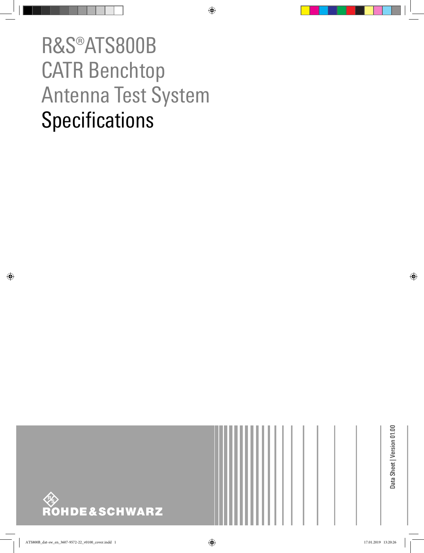# R&S®ATS800B CATR Benchtop Antenna Test System **Specifications**



Data Sheet | Version 01.00 Data Sheet | Version 01.00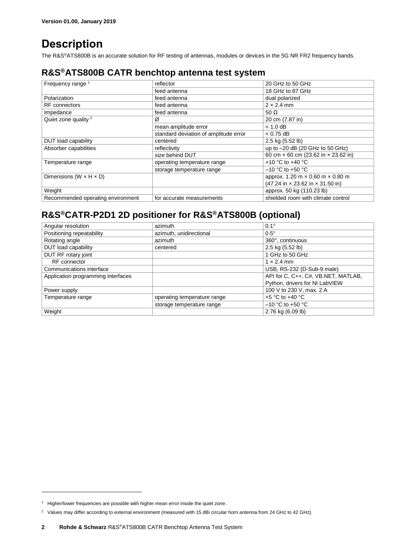## **Description**

The R&S<sup>®</sup>ATS800B is an accurate solution for RF testing of antennas, modules or devices in the 5G NR FR2 frequency bands.

## **R&S®ATS800B CATR benchtop antenna test system**

| Frequency range <sup>1</sup>         | reflector                             | 20 GHz to 50 GHz                               |  |
|--------------------------------------|---------------------------------------|------------------------------------------------|--|
|                                      | feed antenna                          | 18 GHz to 87 GHz                               |  |
| Polarization                         | feed antenna                          | dual polarized                                 |  |
| <b>RF</b> connectors                 | feed antenna                          | $2 \times 2.4$ mm                              |  |
| Impedance                            | feed antenna                          | 50 $\Omega$                                    |  |
| Quiet zone quality <sup>2</sup>      | Ø                                     | 20 cm (7.87 in)                                |  |
|                                      | mean amplitude error                  | $< 1.0$ dB                                     |  |
|                                      | standard deviation of amplitude error | $< 0.75$ dB                                    |  |
| DUT load capability                  | centered                              | 2.5 kg (5.52 lb)                               |  |
| Absorber capabilities                | reflectivity                          | up to -20 dB (20 GHz to 50 GHz)                |  |
|                                      | size behind DUT                       | 60 cm × 60 cm (23.62 in × 23.62 in)            |  |
| Temperature range                    | operating temperature range           | +10 °C to +40 °C                               |  |
|                                      | storage temperature range             | $-10$ °C to +50 °C                             |  |
| Dimensions (W $\times$ H $\times$ D) |                                       | approx. 1.20 m $\times$ 0.60 m $\times$ 0.80 m |  |
|                                      |                                       | (47.24 in x 23.62 in x 31.50 in)               |  |
| Weight                               |                                       | approx. 50 kg (110.23 lb)                      |  |
| Recommended operating environment    | for accurate measurements             | shielded room with climate control             |  |

## **R&S®CATR-P2D1 2D positioner for R&S®ATS800B (optional)**

| Angular resolution                 | azimuth                     | $0.1^\circ$                         |  |
|------------------------------------|-----------------------------|-------------------------------------|--|
| Positioning repeatability          | azimuth, unidirectional     | $0.5^\circ$                         |  |
| Rotating angle                     | azimuth                     | 360°, continuous                    |  |
| DUT load capability                | centered                    | 2.5 kg (5.52 lb)                    |  |
| DUT RF rotary joint                |                             | 1 GHz to 50 GHz                     |  |
| RF connector                       |                             | $1 \times 2.4$ mm                   |  |
| Communications interface           |                             | USB, RS-232 (D-Sub-9 male)          |  |
| Application programming interfaces |                             | API for C, C++, C#, VB.NET, MATLAB, |  |
|                                    |                             | Python, drivers for NI LabVIEW      |  |
| Power supply                       |                             | 100 V to 230 V, max. 2 A            |  |
| Temperature range                  | operating temperature range | $+5$ °C to $+40$ °C                 |  |
|                                    | storage temperature range   | $-10$ °C to +50 °C                  |  |
| Weight                             |                             | 2.76 kg (6.09 lb)                   |  |

l

<sup>&</sup>lt;sup>1</sup> Higher/lower frequencies are possible with higher mean error inside the quiet zone.

<sup>&</sup>lt;sup>2</sup> Values may differ according to external environment (measured with 15 dBi circular horn antenna from 24 GHz to 42 GHz).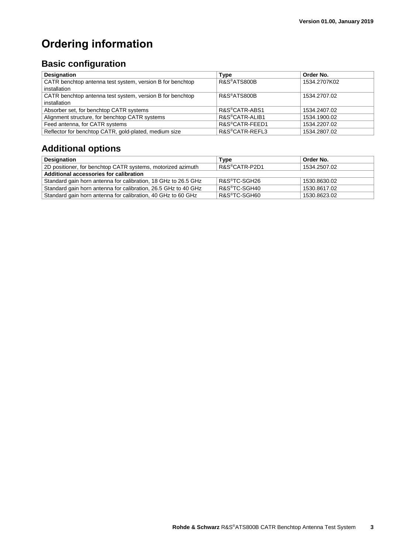# **Ordering information**

## **Basic configuration**

| <b>Designation</b>                                        | Type                        | Order No.    |
|-----------------------------------------------------------|-----------------------------|--------------|
| CATR benchtop antenna test system, version B for benchtop | R&S <sup>®</sup> ATS800B    | 1534.2707K02 |
| installation                                              |                             |              |
| CATR benchtop antenna test system, version B for benchtop | R&S <sup>®</sup> ATS800B    | 1534.2707.02 |
| installation                                              |                             |              |
| Absorber set, for benchtop CATR systems                   | R&S <sup>®</sup> CATR-ABS1  | 1534.2407.02 |
| Alignment structure, for benchtop CATR systems            | R&S <sup>®</sup> CATR-ALIB1 | 1534.1900.02 |
| Feed antenna, for CATR systems                            | R&S <sup>®</sup> CATR-FEED1 | 1534.2207.02 |
| Reflector for benchtop CATR, gold-plated, medium size     | R&S <sup>®</sup> CATR-REFL3 | 1534.2807.02 |

## **Additional options**

| <b>Designation</b>                                             | Type                       | Order No.    |  |  |  |
|----------------------------------------------------------------|----------------------------|--------------|--|--|--|
| 2D positioner, for benchtop CATR systems, motorized azimuth    | R&S <sup>®</sup> CATR-P2D1 | 1534.2507.02 |  |  |  |
| Additional accessories for calibration                         |                            |              |  |  |  |
| Standard gain horn antenna for calibration, 18 GHz to 26.5 GHz | R&S®TC-SGH26               | 1530.8630.02 |  |  |  |
| Standard gain horn antenna for calibration, 26.5 GHz to 40 GHz | R&S <sup>®</sup> TC-SGH40  | 1530.8617.02 |  |  |  |
| Standard gain horn antenna for calibration, 40 GHz to 60 GHz   | R&S <sup>®</sup> TC-SGH60  | 1530.8623.02 |  |  |  |